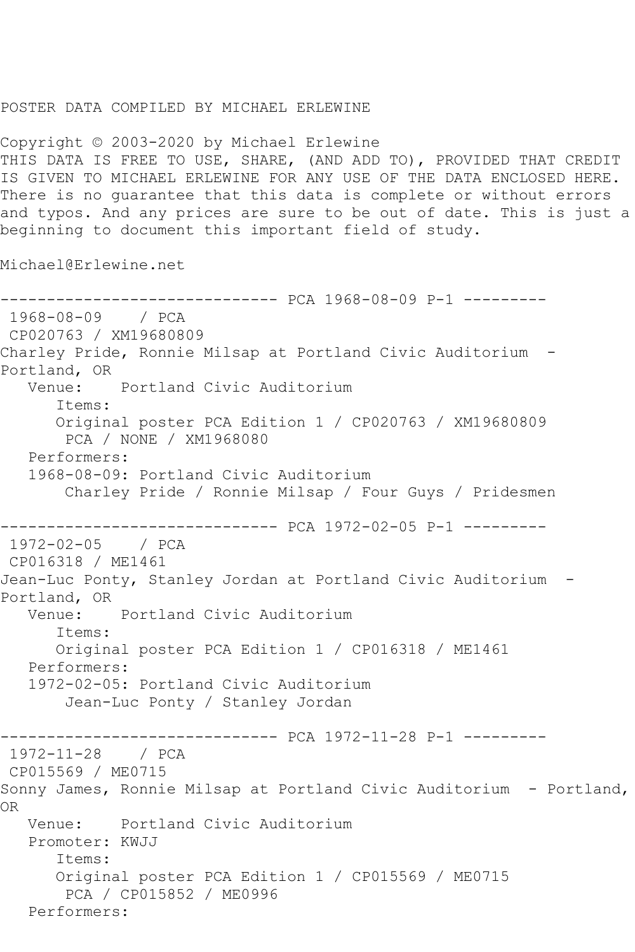## POSTER DATA COMPILED BY MICHAEL ERLEWINE

Copyright © 2003-2020 by Michael Erlewine THIS DATA IS FREE TO USE, SHARE, (AND ADD TO), PROVIDED THAT CREDIT IS GIVEN TO MICHAEL ERLEWINE FOR ANY USE OF THE DATA ENCLOSED HERE. There is no guarantee that this data is complete or without errors and typos. And any prices are sure to be out of date. This is just a beginning to document this important field of study.

Michael@Erlewine.net

------------------------------ PCA 1968-08-09 P-1 --------- 1968-08-09 / PCA CP020763 / XM19680809 Charley Pride, Ronnie Milsap at Portland Civic Auditorium - Portland, OR Venue: Portland Civic Auditorium Items: Original poster PCA Edition 1 / CP020763 / XM19680809 PCA / NONE / XM1968080 Performers: 1968-08-09: Portland Civic Auditorium Charley Pride / Ronnie Milsap / Four Guys / Pridesmen ------------------------------ PCA 1972-02-05 P-1 --------- 1972-02-05 / PCA CP016318 / ME1461 Jean-Luc Ponty, Stanley Jordan at Portland Civic Auditorium - Portland, OR<br>Venue: Portland Civic Auditorium Items: Original poster PCA Edition 1 / CP016318 / ME1461 Performers: 1972-02-05: Portland Civic Auditorium Jean-Luc Ponty / Stanley Jordan ------------------------------ PCA 1972-11-28 P-1 --------- 1972-11-28 / PCA CP015569 / ME0715 Sonny James, Ronnie Milsap at Portland Civic Auditorium - Portland, OR Venue: Portland Civic Auditorium Promoter: KWJJ Items: Original poster PCA Edition 1 / CP015569 / ME0715 PCA / CP015852 / ME0996 Performers: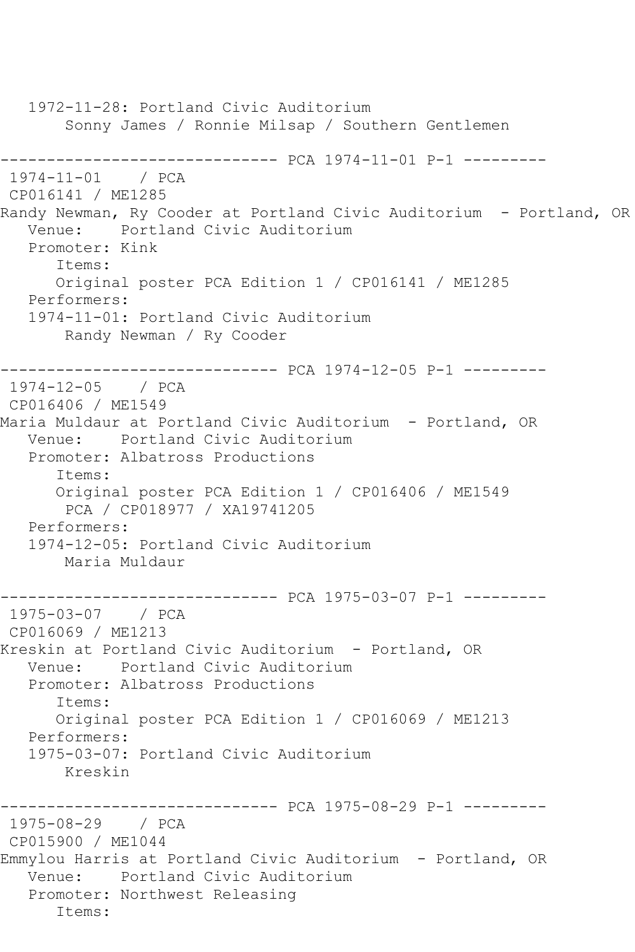1972-11-28: Portland Civic Auditorium Sonny James / Ronnie Milsap / Southern Gentlemen ------------------------------ PCA 1974-11-01 P-1 --------- 1974-11-01 / PCA CP016141 / ME1285 Randy Newman, Ry Cooder at Portland Civic Auditorium - Portland, OR Venue: Portland Civic Auditorium Promoter: Kink Items: Original poster PCA Edition 1 / CP016141 / ME1285 Performers: 1974-11-01: Portland Civic Auditorium Randy Newman / Ry Cooder ------------------------------ PCA 1974-12-05 P-1 --------- 1974-12-05 / PCA CP016406 / ME1549 Maria Muldaur at Portland Civic Auditorium - Portland, OR Venue: Portland Civic Auditorium Promoter: Albatross Productions Items: Original poster PCA Edition 1 / CP016406 / ME1549 PCA / CP018977 / XA19741205 Performers: 1974-12-05: Portland Civic Auditorium Maria Muldaur ------------------------------ PCA 1975-03-07 P-1 --------- 1975-03-07 / PCA CP016069 / ME1213 Kreskin at Portland Civic Auditorium - Portland, OR Venue: Portland Civic Auditorium Promoter: Albatross Productions Items: Original poster PCA Edition 1 / CP016069 / ME1213 Performers: 1975-03-07: Portland Civic Auditorium Kreskin ------------------------------ PCA 1975-08-29 P-1 --------- 1975-08-29 / PCA CP015900 / ME1044 Emmylou Harris at Portland Civic Auditorium - Portland, OR Venue: Portland Civic Auditorium Promoter: Northwest Releasing Items: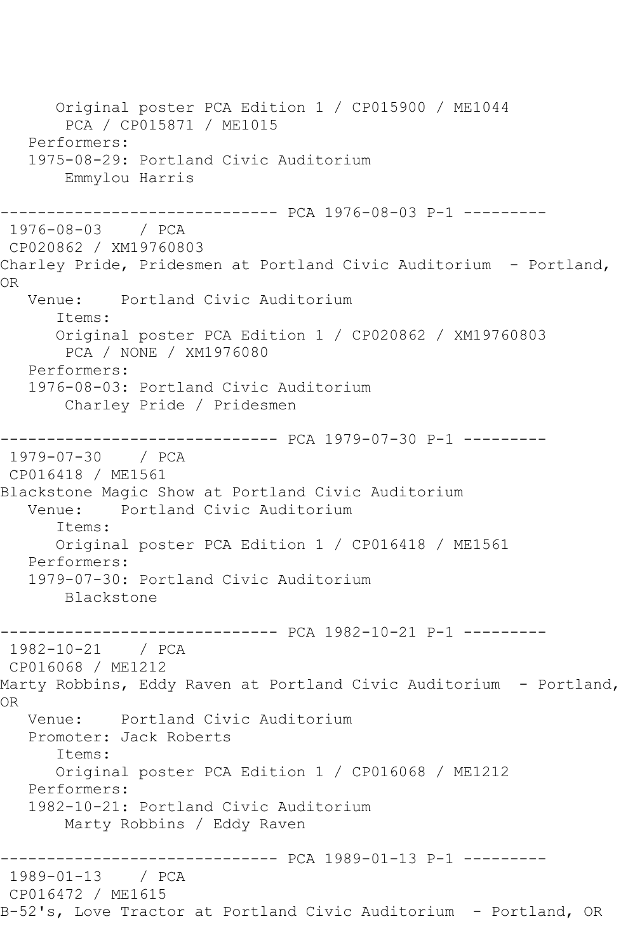Original poster PCA Edition 1 / CP015900 / ME1044 PCA / CP015871 / ME1015 Performers: 1975-08-29: Portland Civic Auditorium Emmylou Harris ------------------------------ PCA 1976-08-03 P-1 --------- 1976-08-03 / PCA CP020862 / XM19760803 Charley Pride, Pridesmen at Portland Civic Auditorium - Portland, OR Venue: Portland Civic Auditorium Items: Original poster PCA Edition 1 / CP020862 / XM19760803 PCA / NONE / XM1976080 Performers: 1976-08-03: Portland Civic Auditorium Charley Pride / Pridesmen ------------------------------ PCA 1979-07-30 P-1 --------- 1979-07-30 / PCA CP016418 / ME1561 Blackstone Magic Show at Portland Civic Auditorium<br>Venue: Portland Civic Auditorium Portland Civic Auditorium Items: Original poster PCA Edition 1 / CP016418 / ME1561 Performers: 1979-07-30: Portland Civic Auditorium Blackstone ------------------------------ PCA 1982-10-21 P-1 --------- 1982-10-21 / PCA CP016068 / ME1212 Marty Robbins, Eddy Raven at Portland Civic Auditorium - Portland, OR Venue: Portland Civic Auditorium Promoter: Jack Roberts Items: Original poster PCA Edition 1 / CP016068 / ME1212 Performers: 1982-10-21: Portland Civic Auditorium Marty Robbins / Eddy Raven ------------------------------ PCA 1989-01-13 P-1 --------- 1989-01-13 / PCA CP016472 / ME1615 B-52's, Love Tractor at Portland Civic Auditorium - Portland, OR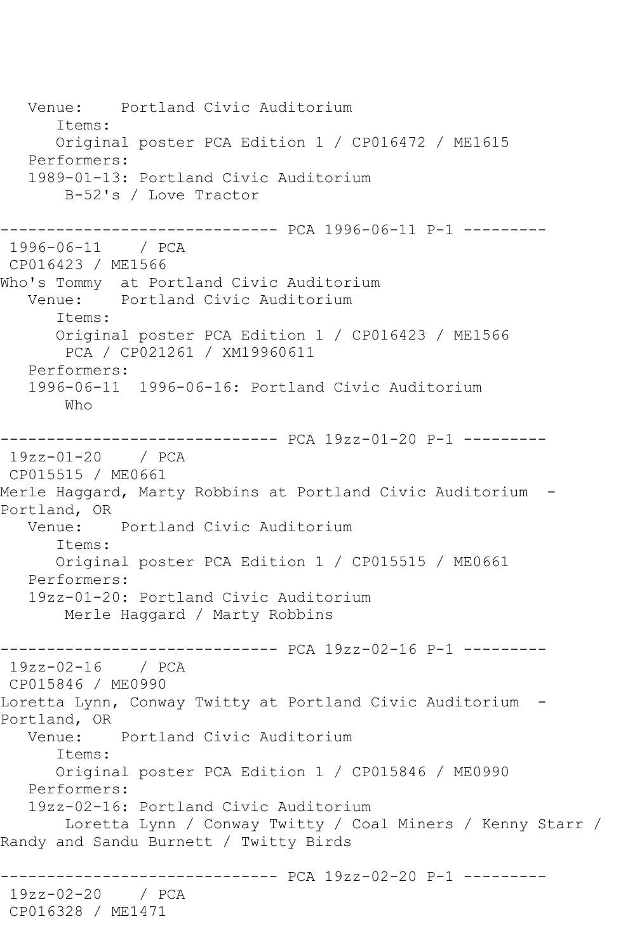Venue: Portland Civic Auditorium Items: Original poster PCA Edition 1 / CP016472 / ME1615 Performers: 1989-01-13: Portland Civic Auditorium B-52's / Love Tractor ------------------------------ PCA 1996-06-11 P-1 --------- 1996-06-11 / PCA CP016423 / ME1566 Who's Tommy at Portland Civic Auditorium Venue: Portland Civic Auditorium Items: Original poster PCA Edition 1 / CP016423 / ME1566 PCA / CP021261 / XM19960611 Performers: 1996-06-11 1996-06-16: Portland Civic Auditorium Who ------------------------------ PCA 19zz-01-20 P-1 --------- 19zz-01-20 / PCA CP015515 / ME0661 Merle Haggard, Marty Robbins at Portland Civic Auditorium - Portland, OR<br>Venue: Portland Civic Auditorium Items: Original poster PCA Edition 1 / CP015515 / ME0661 Performers: 19zz-01-20: Portland Civic Auditorium Merle Haggard / Marty Robbins ------------------------------ PCA 19zz-02-16 P-1 --------- 19zz-02-16 / PCA CP015846 / ME0990 Loretta Lynn, Conway Twitty at Portland Civic Auditorium - Portland, OR<br>Venue: Portland Civic Auditorium Items: Original poster PCA Edition 1 / CP015846 / ME0990 Performers: 19zz-02-16: Portland Civic Auditorium Loretta Lynn / Conway Twitty / Coal Miners / Kenny Starr / Randy and Sandu Burnett / Twitty Birds ------------------------------ PCA 19zz-02-20 P-1 --------- 19zz-02-20 / PCA CP016328 / ME1471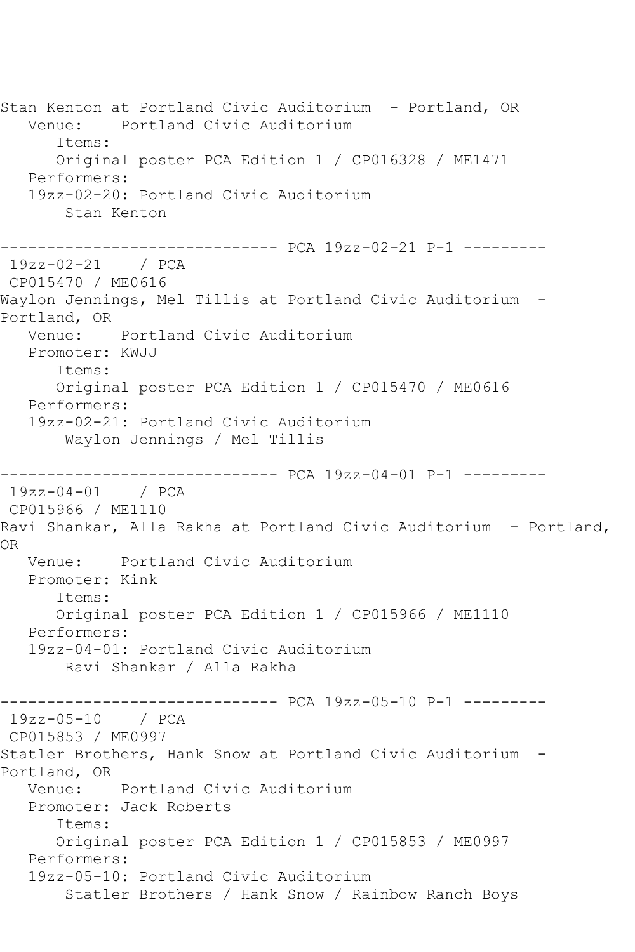Stan Kenton at Portland Civic Auditorium - Portland, OR Venue: Portland Civic Auditorium Items: Original poster PCA Edition 1 / CP016328 / ME1471 Performers: 19zz-02-20: Portland Civic Auditorium Stan Kenton ------------------------------ PCA 19zz-02-21 P-1 --------- 19zz-02-21 / PCA CP015470 / ME0616 Waylon Jennings, Mel Tillis at Portland Civic Auditorium - Portland, OR Venue: Portland Civic Auditorium Promoter: KWJJ Items: Original poster PCA Edition 1 / CP015470 / ME0616 Performers: 19zz-02-21: Portland Civic Auditorium Waylon Jennings / Mel Tillis ------------------------------ PCA 19zz-04-01 P-1 --------- 19zz-04-01 / PCA CP015966 / ME1110 Ravi Shankar, Alla Rakha at Portland Civic Auditorium - Portland, OR Venue: Portland Civic Auditorium Promoter: Kink Items: Original poster PCA Edition 1 / CP015966 / ME1110 Performers: 19zz-04-01: Portland Civic Auditorium Ravi Shankar / Alla Rakha ------------------------------ PCA 19zz-05-10 P-1 --------- 19zz-05-10 / PCA CP015853 / ME0997 Statler Brothers, Hank Snow at Portland Civic Auditorium - Portland, OR Venue: Portland Civic Auditorium Promoter: Jack Roberts Items: Original poster PCA Edition 1 / CP015853 / ME0997 Performers: 19zz-05-10: Portland Civic Auditorium Statler Brothers / Hank Snow / Rainbow Ranch Boys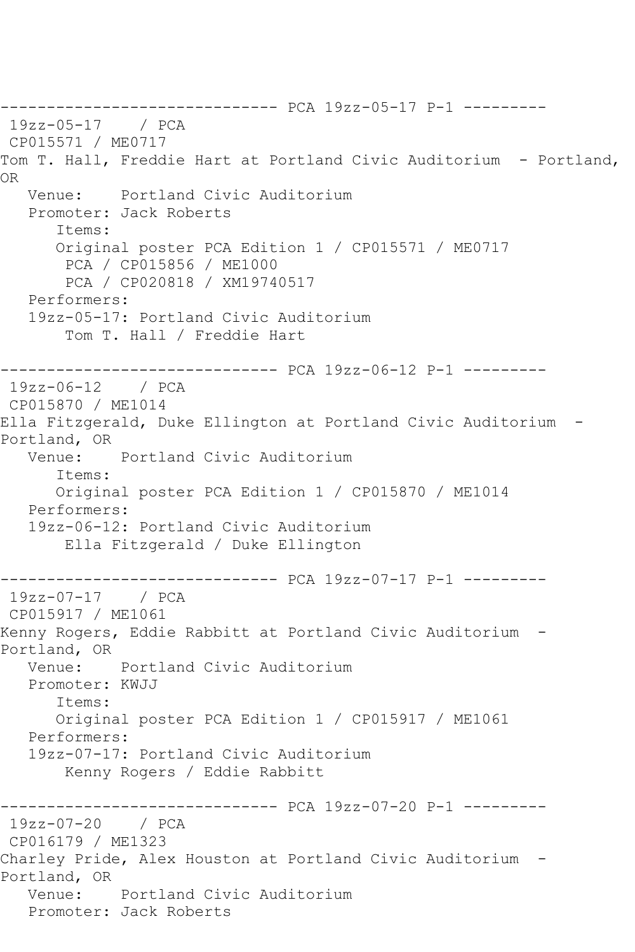------------------------------ PCA 19zz-05-17 P-1 --------- 19zz-05-17 / PCA CP015571 / ME0717 Tom T. Hall, Freddie Hart at Portland Civic Auditorium - Portland, OR Venue: Portland Civic Auditorium Promoter: Jack Roberts Items: Original poster PCA Edition 1 / CP015571 / ME0717 PCA / CP015856 / ME1000 PCA / CP020818 / XM19740517 Performers: 19zz-05-17: Portland Civic Auditorium Tom T. Hall / Freddie Hart ------------------------------ PCA 19zz-06-12 P-1 --------- 19zz-06-12 / PCA CP015870 / ME1014 Ella Fitzgerald, Duke Ellington at Portland Civic Auditorium - Portland, OR Venue: Portland Civic Auditorium Items: Original poster PCA Edition 1 / CP015870 / ME1014 Performers: 19zz-06-12: Portland Civic Auditorium Ella Fitzgerald / Duke Ellington ------------------------------ PCA 19zz-07-17 P-1 --------- 19zz-07-17 / PCA CP015917 / ME1061 Kenny Rogers, Eddie Rabbitt at Portland Civic Auditorium - Portland, OR Venue: Portland Civic Auditorium Promoter: KWJJ Items: Original poster PCA Edition 1 / CP015917 / ME1061 Performers: 19zz-07-17: Portland Civic Auditorium Kenny Rogers / Eddie Rabbitt ------------------------------ PCA 19zz-07-20 P-1 --------- 19zz-07-20 / PCA CP016179 / ME1323 Charley Pride, Alex Houston at Portland Civic Auditorium - Portland, OR Venue: Portland Civic Auditorium Promoter: Jack Roberts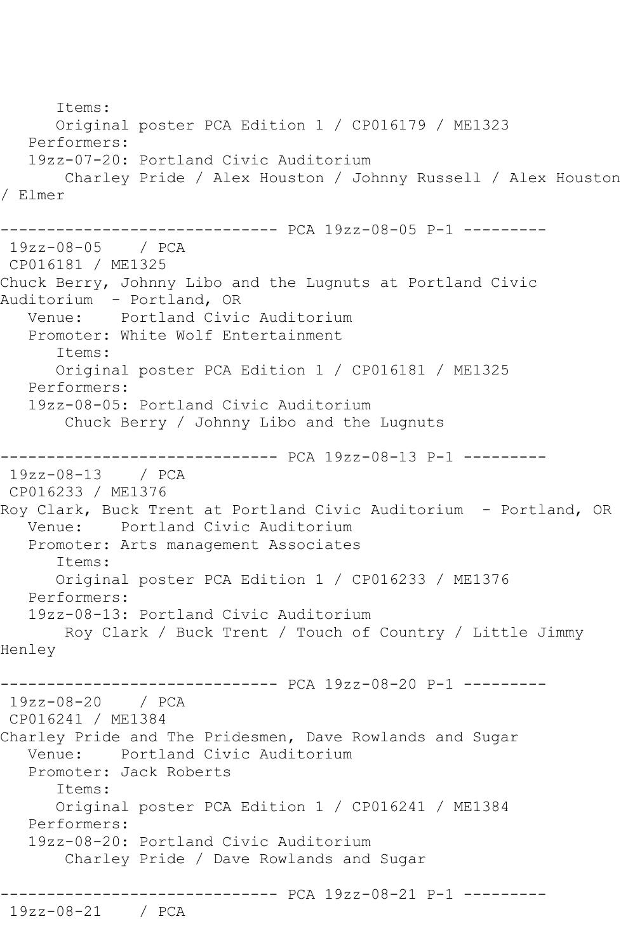```
 Items:
      Original poster PCA Edition 1 / CP016179 / ME1323
   Performers:
   19zz-07-20: Portland Civic Auditorium
       Charley Pride / Alex Houston / Johnny Russell / Alex Houston 
/ Elmer
------------------------------ PCA 19zz-08-05 P-1 ---------
19zz-08-05 / PCA 
CP016181 / ME1325
Chuck Berry, Johnny Libo and the Lugnuts at Portland Civic 
Auditorium - Portland, OR
   Venue: Portland Civic Auditorium
   Promoter: White Wolf Entertainment
      Items:
      Original poster PCA Edition 1 / CP016181 / ME1325
   Performers:
   19zz-08-05: Portland Civic Auditorium
       Chuck Berry / Johnny Libo and the Lugnuts
------------------------------ PCA 19zz-08-13 P-1 ---------
19zz-08-13 / PCA 
CP016233 / ME1376
Roy Clark, Buck Trent at Portland Civic Auditorium - Portland, OR
   Venue: Portland Civic Auditorium
   Promoter: Arts management Associates
      Items:
      Original poster PCA Edition 1 / CP016233 / ME1376
   Performers:
   19zz-08-13: Portland Civic Auditorium
       Roy Clark / Buck Trent / Touch of Country / Little Jimmy 
Henley
------------------------------ PCA 19zz-08-20 P-1 ---------
19zz-08-20 / PCA 
CP016241 / ME1384
Charley Pride and The Pridesmen, Dave Rowlands and Sugar
   Venue: Portland Civic Auditorium
   Promoter: Jack Roberts
      Items:
      Original poster PCA Edition 1 / CP016241 / ME1384
   Performers:
   19zz-08-20: Portland Civic Auditorium
       Charley Pride / Dave Rowlands and Sugar
------------------------------ PCA 19zz-08-21 P-1 ---------
19zz-08-21 / PCA
```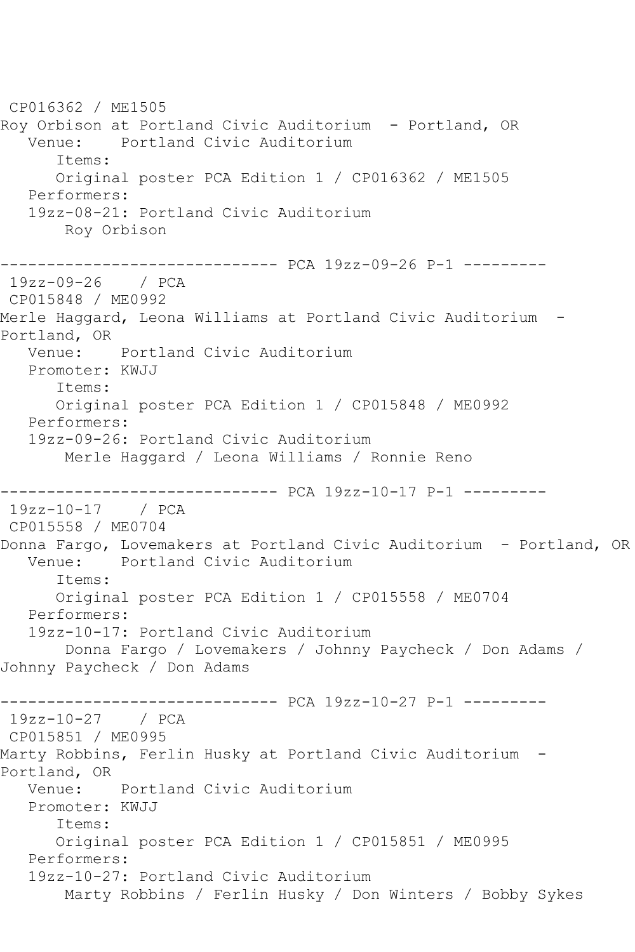CP016362 / ME1505 Roy Orbison at Portland Civic Auditorium - Portland, OR Venue: Portland Civic Auditorium Items: Original poster PCA Edition 1 / CP016362 / ME1505 Performers: 19zz-08-21: Portland Civic Auditorium Roy Orbison ------------------------------ PCA 19zz-09-26 P-1 --------- 19zz-09-26 / PCA CP015848 / ME0992 Merle Haggard, Leona Williams at Portland Civic Auditorium - Portland, OR Venue: Portland Civic Auditorium Promoter: KWJJ Items: Original poster PCA Edition 1 / CP015848 / ME0992 Performers: 19zz-09-26: Portland Civic Auditorium Merle Haggard / Leona Williams / Ronnie Reno ------------------------------ PCA 19zz-10-17 P-1 --------- 19zz-10-17 / PCA CP015558 / ME0704 Donna Fargo, Lovemakers at Portland Civic Auditorium - Portland, OR<br>Venue: Portland Civic Auditorium Portland Civic Auditorium Items: Original poster PCA Edition 1 / CP015558 / ME0704 Performers: 19zz-10-17: Portland Civic Auditorium Donna Fargo / Lovemakers / Johnny Paycheck / Don Adams / Johnny Paycheck / Don Adams ------------------------------ PCA 19zz-10-27 P-1 --------- 19zz-10-27 / PCA CP015851 / ME0995 Marty Robbins, Ferlin Husky at Portland Civic Auditorium - Portland, OR Venue: Portland Civic Auditorium Promoter: KWJJ Items: Original poster PCA Edition 1 / CP015851 / ME0995 Performers: 19zz-10-27: Portland Civic Auditorium Marty Robbins / Ferlin Husky / Don Winters / Bobby Sykes